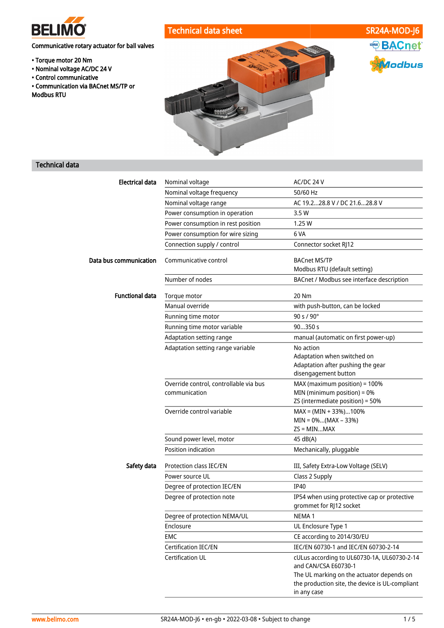

ASHRAE BACnet

*Aodbus* 

## Communicative rotary actuator for ball valves

- Torque motor 20 Nm
- Nominal voltage AC/DC 24 V
- Control communicative
- Communication via BACnet MS/TP or Modbus RTU



## Technical data

| <b>Electrical data</b> | Nominal voltage                                         | AC/DC 24 V                                                                                                       |
|------------------------|---------------------------------------------------------|------------------------------------------------------------------------------------------------------------------|
|                        | Nominal voltage frequency                               | 50/60 Hz                                                                                                         |
|                        | Nominal voltage range                                   | AC 19.228.8 V / DC 21.628.8 V                                                                                    |
|                        | Power consumption in operation                          | 3.5W                                                                                                             |
|                        | Power consumption in rest position                      | 1.25 W                                                                                                           |
|                        | Power consumption for wire sizing                       | 6 VA                                                                                                             |
|                        | Connection supply / control                             | Connector socket RJ12                                                                                            |
| Data bus communication | Communicative control                                   | <b>BACnet MS/TP</b><br>Modbus RTU (default setting)                                                              |
|                        | Number of nodes                                         | BACnet / Modbus see interface description                                                                        |
| <b>Functional data</b> | Torque motor                                            | 20 Nm                                                                                                            |
|                        | Manual override                                         | with push-button, can be locked                                                                                  |
|                        | Running time motor                                      | 90 s / 90°                                                                                                       |
|                        | Running time motor variable                             | 90350 s                                                                                                          |
|                        | Adaptation setting range                                | manual (automatic on first power-up)                                                                             |
|                        | Adaptation setting range variable                       | No action<br>Adaptation when switched on<br>Adaptation after pushing the gear<br>disengagement button            |
|                        | Override control, controllable via bus<br>communication | MAX (maximum position) = 100%<br>MIN (minimum position) = 0%<br>ZS (intermediate position) = 50%                 |
|                        | Override control variable                               | $MAX = (MIN + 33\%).100\%$<br>$MIN = 0$ %(MAX – 33%)<br>$\mathsf{ZS} = \mathsf{MIN} \dots \mathsf{MAX}$          |
|                        | Sound power level, motor                                | 45 dB(A)                                                                                                         |
|                        | Position indication                                     | Mechanically, pluggable                                                                                          |
| Safety data            | <b>Protection class IEC/EN</b>                          | III, Safety Extra-Low Voltage (SELV)                                                                             |
|                        | Power source UL                                         | Class 2 Supply                                                                                                   |
|                        | Degree of protection IEC/EN                             | <b>IP40</b>                                                                                                      |
|                        | Degree of protection note                               | IP54 when using protective cap or protective<br>grommet for RJ12 socket                                          |
|                        | Degree of protection NEMA/UL                            | NEMA <sub>1</sub>                                                                                                |
|                        | Enclosure                                               | UL Enclosure Type 1                                                                                              |
|                        | EMC                                                     | CE according to 2014/30/EU                                                                                       |
|                        | Certification IEC/EN                                    | IEC/EN 60730-1 and IEC/EN 60730-2-14                                                                             |
|                        | Certification UL                                        | cULus according to UL60730-1A, UL60730-2-14<br>and CAN/CSA E60730-1<br>The UL marking on the actuator depends on |
|                        |                                                         | the production site, the device is UL-compliant<br>in any case                                                   |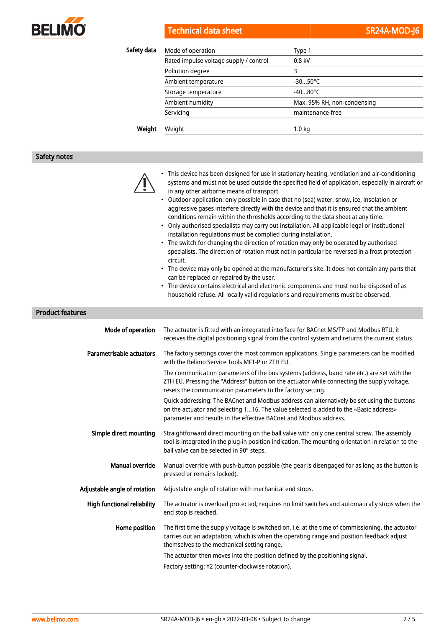

| Safety data | Mode of operation                      | Type 1                      |
|-------------|----------------------------------------|-----------------------------|
|             | Rated impulse voltage supply / control | $0.8$ kV                    |
|             | Pollution degree                       | 3                           |
|             | Ambient temperature                    | $-3050^{\circ}$ C           |
|             | Storage temperature                    | $-4080^{\circ}$ C           |
|             | Ambient humidity                       | Max. 95% RH, non-condensing |
|             | Servicing                              | maintenance-free            |
| Weight      | Weight                                 | 1.0 <sub>kq</sub>           |

#### Safety notes



- This device has been designed for use in stationary heating, ventilation and air-conditioning systems and must not be used outside the specified field of application, especially in aircraft or in any other airborne means of transport.
- Outdoor application: only possible in case that no (sea) water, snow, ice, insolation or aggressive gases interfere directly with the device and that it is ensured that the ambient conditions remain within the thresholds according to the data sheet at any time.
- Only authorised specialists may carry out installation. All applicable legal or institutional installation regulations must be complied during installation.
- The switch for changing the direction of rotation may only be operated by authorised specialists. The direction of rotation must not in particular be reversed in a frost protection circuit.
- The device may only be opened at the manufacturer's site. It does not contain any parts that can be replaced or repaired by the user.
- The device contains electrical and electronic components and must not be disposed of as household refuse. All locally valid regulations and requirements must be observed.

#### Product features

| Mode of operation                  | The actuator is fitted with an integrated interface for BACnet MS/TP and Modbus RTU, it<br>receives the digital positioning signal from the control system and returns the current status.                                                               |
|------------------------------------|----------------------------------------------------------------------------------------------------------------------------------------------------------------------------------------------------------------------------------------------------------|
| Parametrisable actuators           | The factory settings cover the most common applications. Single parameters can be modified<br>with the Belimo Service Tools MFT-P or ZTH EU.                                                                                                             |
|                                    | The communication parameters of the bus systems (address, baud rate etc.) are set with the<br>ZTH EU. Pressing the "Address" button on the actuator while connecting the supply voltage,<br>resets the communication parameters to the factory setting.  |
|                                    | Quick addressing: The BACnet and Modbus address can alternatively be set using the buttons<br>on the actuator and selecting 116. The value selected is added to the «Basic address»<br>parameter and results in the effective BACnet and Modbus address. |
| Simple direct mounting             | Straightforward direct mounting on the ball valve with only one central screw. The assembly<br>tool is integrated in the plug-in position indication. The mounting orientation in relation to the<br>ball valve can be selected in 90° steps.            |
| Manual override                    | Manual override with push-button possible (the gear is disengaged for as long as the button is<br>pressed or remains locked).                                                                                                                            |
| Adjustable angle of rotation       | Adjustable angle of rotation with mechanical end stops.                                                                                                                                                                                                  |
| <b>High functional reliability</b> | The actuator is overload protected, requires no limit switches and automatically stops when the<br>end stop is reached.                                                                                                                                  |
| Home position                      | The first time the supply voltage is switched on, i.e. at the time of commissioning, the actuator<br>carries out an adaptation, which is when the operating range and position feedback adjust<br>themselves to the mechanical setting range.            |
|                                    | The actuator then moves into the position defined by the positioning signal.                                                                                                                                                                             |
|                                    | Factory setting: Y2 (counter-clockwise rotation).                                                                                                                                                                                                        |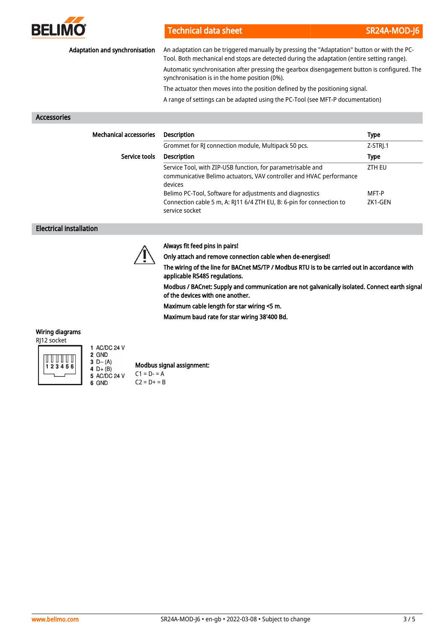

| Adaptation and synchronisation | An adaptation can be triggered manually by pressing the "Adaptation" button or with the PC-<br>Tool. Both mechanical end stops are detected during the adaptation (entire setting range). |                  |
|--------------------------------|-------------------------------------------------------------------------------------------------------------------------------------------------------------------------------------------|------------------|
|                                | Automatic synchronisation after pressing the gearbox disengagement button is configured. The<br>synchronisation is in the home position (0%).                                             |                  |
|                                | The actuator then moves into the position defined by the positioning signal.                                                                                                              |                  |
|                                | A range of settings can be adapted using the PC-Tool (see MFT-P documentation)                                                                                                            |                  |
| <b>Accessories</b>             |                                                                                                                                                                                           |                  |
| <b>Mechanical accessories</b>  | <b>Description</b>                                                                                                                                                                        | Type             |
|                                | Grommet for RJ connection module, Multipack 50 pcs.                                                                                                                                       | Z-STRI.1         |
| Service tools                  | <b>Description</b>                                                                                                                                                                        | <b>Type</b>      |
|                                | Service Tool, with ZIP-USB function, for parametrisable and<br>communicative Belimo actuators, VAV controller and HVAC performance<br>devices                                             | ZTH EU           |
|                                | Belimo PC-Tool, Software for adjustments and diagnostics<br>Connection cable 5 m, A: RJ11 6/4 ZTH EU, B: 6-pin for connection to<br>service socket                                        | MFT-P<br>ZK1-GEN |

#### Electrical installation



### Always fit feed pins in pairs!

Only attach and remove connection cable when de-energised!

The wiring of the line for BACnet MS/TP / Modbus RTU is to be carried out in accordance with applicable RS485 regulations.

Modbus / BACnet: Supply and communication are not galvanically isolated. Connect earth signal of the devices with one another.

Maximum cable length for star wiring <5 m.

Maximum baud rate for star wiring 38'400 Bd.

## Wiring diagrams

RJ12 socket



2 GND 3  $D - (A)$  $4 D+ (B)$ <br>5 AC/DC 24 V 6 GND

1 AC/DC 24 V

Modbus signal assignment:  $C1 = D - 4$ 

 $C2 = D + = B$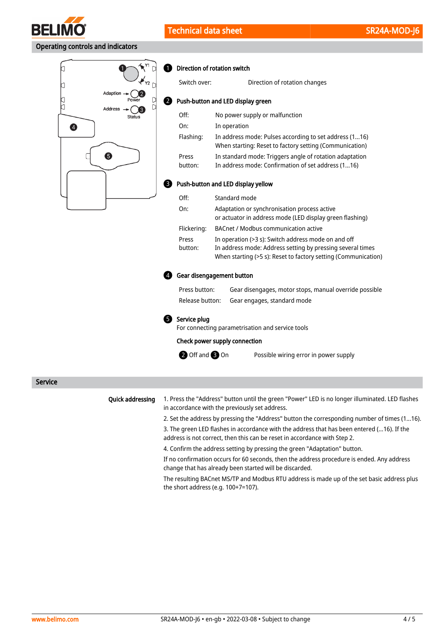

## Operating controls and indicators



#### **D** Direction of rotation switch

2

| Switch over:                       | Direction of rotation changes                                                                                                                                                       |  |  |
|------------------------------------|-------------------------------------------------------------------------------------------------------------------------------------------------------------------------------------|--|--|
| Push-button and LED display green  |                                                                                                                                                                                     |  |  |
| Off:                               | No power supply or malfunction                                                                                                                                                      |  |  |
| On:                                | In operation                                                                                                                                                                        |  |  |
| Flashing:                          | In address mode: Pulses according to set address (116)<br>When starting: Reset to factory setting (Communication)                                                                   |  |  |
| Press<br>button:                   | In standard mode: Triggers angle of rotation adaptation<br>In address mode: Confirmation of set address (116)                                                                       |  |  |
| Push-button and LED display yellow |                                                                                                                                                                                     |  |  |
| Off:                               | Standard mode                                                                                                                                                                       |  |  |
| On:                                | Adaptation or synchronisation process active<br>or actuator in address mode (LED display green flashing)                                                                            |  |  |
| Flickering:                        | BACnet / Modbus communication active                                                                                                                                                |  |  |
| Press<br>button:                   | In operation (>3 s): Switch address mode on and off<br>In address mode: Address setting by pressing several times<br>When starting (>5 s): Reset to factory setting (Communication) |  |  |

#### Gear disengagement button 4

| Press button:   | Gear disengages, motor stops, manual override possible |
|-----------------|--------------------------------------------------------|
| Release button: | Gear engages, standard mode                            |

#### **5** Service plug

For connecting parametrisation and service tools

#### Check power supply connection

**2** Off and **3** On

Possible wiring error in power supply

Service

#### Quick addressing

1. Press the "Address" button until the green "Power" LED is no longer illuminated. LED flashes in accordance with the previously set address.

2. Set the address by pressing the "Address" button the corresponding number of times (1...16).

3. The green LED flashes in accordance with the address that has been entered (...16). If the address is not correct, then this can be reset in accordance with Step 2.

4. Confirm the address setting by pressing the green "Adaptation" button.

If no confirmation occurs for 60 seconds, then the address procedure is ended. Any address change that has already been started will be discarded.

The resulting BACnet MS/TP and Modbus RTU address is made up of the set basic address plus the short address (e.g. 100+7=107).